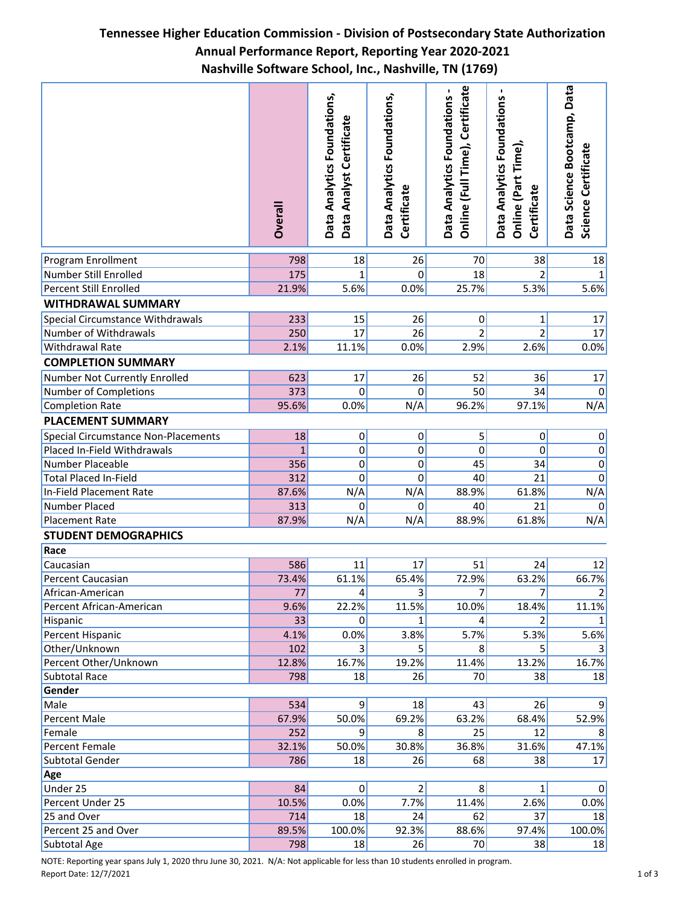## **Tennessee Higher Education Commission - Division of Postsecondary State Authorization Annual Performance Report, Reporting Year 2020-2021 Nashville Software School, Inc., Nashville, TN (1769)**

| Data Science Bootcamp, Data<br>Certificate<br>Data Analytics Foundations -<br>Data Analytics Foundations,<br>Data Analytics Foundations,<br>Data Analytics Foundations<br>Data Analyst Certificate<br>Online (Full Time),<br>Online (Part Time),<br>Certificate<br>Certificate<br><b>Dverall</b> | Science Certificate |
|--------------------------------------------------------------------------------------------------------------------------------------------------------------------------------------------------------------------------------------------------------------------------------------------------|---------------------|
|                                                                                                                                                                                                                                                                                                  |                     |
| 18<br>26<br>38<br>Program Enrollment<br>798<br>70                                                                                                                                                                                                                                                | 18                  |
| $\overline{2}$<br>Number Still Enrolled<br>175<br>$\mathbf{1}$<br>$\overline{0}$<br>18                                                                                                                                                                                                           | 1                   |
| <b>Percent Still Enrolled</b><br>21.9%<br>5.6%<br>0.0%<br>25.7%<br>5.3%                                                                                                                                                                                                                          | 5.6%                |
| <b>WITHDRAWAL SUMMARY</b>                                                                                                                                                                                                                                                                        |                     |
| 233<br>15<br>26<br>Special Circumstance Withdrawals<br>0<br>1                                                                                                                                                                                                                                    | 17                  |
| $\overline{2}$<br>17<br><b>Number of Withdrawals</b><br>250<br>26<br>$\overline{2}$                                                                                                                                                                                                              | 17                  |
| 0.0%<br>2.9%<br>2.6%<br>Withdrawal Rate<br>2.1%<br>11.1%                                                                                                                                                                                                                                         | 0.0%                |
| <b>COMPLETION SUMMARY</b>                                                                                                                                                                                                                                                                        |                     |
| Number Not Currently Enrolled<br>623<br>17<br>26<br>52<br>36                                                                                                                                                                                                                                     | 17                  |
| 373<br>0<br>$\mathbf 0$<br>50<br>34<br>Number of Completions                                                                                                                                                                                                                                     | 0                   |
| 95.6%<br>N/A<br>97.1%<br>0.0%<br>96.2%<br><b>Completion Rate</b>                                                                                                                                                                                                                                 | N/A                 |
| <b>PLACEMENT SUMMARY</b>                                                                                                                                                                                                                                                                         |                     |
|                                                                                                                                                                                                                                                                                                  |                     |
| 18<br>5<br><b>Special Circumstance Non-Placements</b><br> 0 <br>$\overline{0}$<br>$\pmb{0}$                                                                                                                                                                                                      | $\pmb{0}$           |
| 0<br>0<br>Placed In-Field Withdrawals<br>0<br>$\mathbf 0$<br>$\overline{1}$                                                                                                                                                                                                                      | $\overline{0}$      |
| Number Placeable<br>0<br>0<br>45<br>34<br>356                                                                                                                                                                                                                                                    | $\overline{0}$      |
| <b>Total Placed In-Field</b><br>0<br>312<br>$\Omega$<br>40<br>21<br>87.6%                                                                                                                                                                                                                        | $\mathbf 0$         |
| N/A<br>N/A<br>In-Field Placement Rate<br>88.9%<br>61.8%<br>Number Placed<br>0<br>$\mathbf{0}$<br>40<br>21                                                                                                                                                                                        | N/A<br>$\pmb{0}$    |
| 313<br>N/A                                                                                                                                                                                                                                                                                       | N/A                 |
| 87.9%<br>N/A<br><b>Placement Rate</b><br>88.9%<br>61.8%                                                                                                                                                                                                                                          |                     |
| <b>STUDENT DEMOGRAPHICS</b>                                                                                                                                                                                                                                                                      |                     |
| Race                                                                                                                                                                                                                                                                                             |                     |
| 586<br>51<br>11<br>17<br>24<br>Caucasian                                                                                                                                                                                                                                                         | 12                  |
| 73.4%<br>61.1%<br>65.4%<br>72.9%<br>63.2%<br>Percent Caucasian                                                                                                                                                                                                                                   | 66.7%               |
| African-American<br>77 <br>4 <sub>1</sub><br>31<br>71<br>7                                                                                                                                                                                                                                       | 21                  |
| 22.2%<br>11.5%<br>10.0%<br>Percent African-American<br>9.6%<br>18.4%                                                                                                                                                                                                                             | 11.1%               |
| 33<br>Hispanic<br> 0 <br>2<br>1<br>4                                                                                                                                                                                                                                                             | 1                   |
| 0.0%<br>3.8%<br>5.7%<br>5.3%<br>Percent Hispanic<br>4.1%                                                                                                                                                                                                                                         | 5.6%                |
| Other/Unknown<br>102<br>3<br>5<br>5<br>8 <sup>1</sup>                                                                                                                                                                                                                                            |                     |
| Percent Other/Unknown<br>12.8%<br>16.7%<br>19.2%<br>11.4%<br>13.2%                                                                                                                                                                                                                               | 16.7%               |
| Subtotal Race<br>798<br>18<br>26<br>70<br>38                                                                                                                                                                                                                                                     | 18                  |
| Gender                                                                                                                                                                                                                                                                                           |                     |
| Male<br>534<br>9<br>18<br>26<br>43                                                                                                                                                                                                                                                               | 9<br>52.9%          |
| 67.9%<br>50.0%<br>69.2%<br>Percent Male<br>63.2%<br>68.4%<br>Female<br> 9 <br>8 <sup>1</sup><br>25<br>12<br>252                                                                                                                                                                                  | 8                   |
| 50.0%<br>30.8%<br>31.6%<br>Percent Female<br>32.1%<br>36.8%                                                                                                                                                                                                                                      | 47.1%               |
| Subtotal Gender<br>786<br>18<br>26<br>68<br>38                                                                                                                                                                                                                                                   | 17                  |
| Age                                                                                                                                                                                                                                                                                              |                     |
| $\overline{2}$<br>Under 25<br>84<br> 0 <br>8 <sup>2</sup><br>$\mathbf{1}$                                                                                                                                                                                                                        | 0                   |
| 7.7%<br>10.5%<br>0.0%<br>11.4%<br>2.6%<br>Percent Under 25                                                                                                                                                                                                                                       | 0.0%                |
| 18<br>24<br>62<br>37<br>25 and Over<br>714                                                                                                                                                                                                                                                       | 18                  |
| 92.3%<br>89.5%<br>100.0%<br>88.6%<br>97.4%<br>Percent 25 and Over                                                                                                                                                                                                                                | 100.0%              |
| 798<br>18<br>26<br>38<br>Subtotal Age<br>70                                                                                                                                                                                                                                                      | 18                  |

NOTE: Reporting year spans July 1, 2020 thru June 30, 2021. N/A: Not applicable for less than 10 students enrolled in program. Report Date: 12/7/2021 1 of 3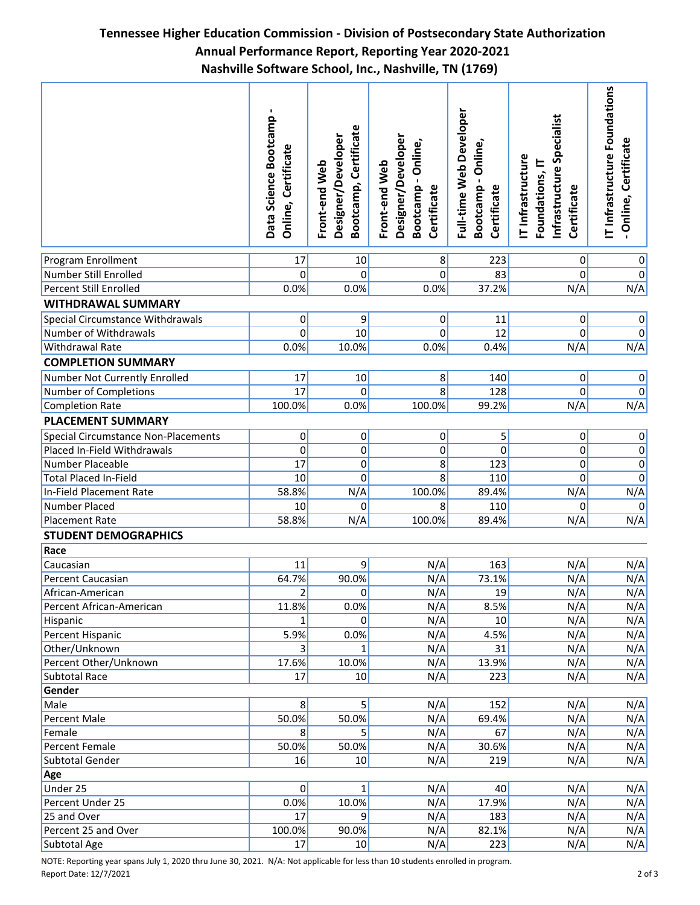## **Tennessee Higher Education Commission - Division of Postsecondary State Authorization Annual Performance Report, Reporting Year 2020-2021 Nashville Software School, Inc., Nashville, TN (1769)**

|                                     | Data Science Bootcamp<br>Certificate<br>Online, | Certificate<br>Designer/Developer<br>Front-end Web<br>Bootcamp, | Designer/Developer<br>Bootcamp - Online,<br>Front-end Web<br>Certificate | Full-time Web Developer<br>Online<br>Certificate<br>Bootcamp | Infrastructure Specialist<br>IT Infrastructure<br>Foundations, IT<br>Certificate | T Infrastructure Foundations<br>Online, Certificate |
|-------------------------------------|-------------------------------------------------|-----------------------------------------------------------------|--------------------------------------------------------------------------|--------------------------------------------------------------|----------------------------------------------------------------------------------|-----------------------------------------------------|
| Program Enrollment                  | 17                                              | 10                                                              | 8                                                                        | 223                                                          | $\overline{0}$                                                                   | 0                                                   |
| Number Still Enrolled               | $\overline{0}$                                  | $\overline{0}$                                                  | 0                                                                        | 83                                                           | 0                                                                                | $\mathbf 0$                                         |
| <b>Percent Still Enrolled</b>       | 0.0%                                            | 0.0%                                                            | 0.0%                                                                     | 37.2%                                                        | N/A                                                                              | N/A                                                 |
| <b>WITHDRAWAL SUMMARY</b>           |                                                 |                                                                 |                                                                          |                                                              |                                                                                  |                                                     |
| Special Circumstance Withdrawals    | $\mathsf{o}$                                    | 9                                                               | 0                                                                        | 11                                                           | 0                                                                                | $\overline{0}$                                      |
| Number of Withdrawals               | $\overline{0}$                                  | 10                                                              | $\Omega$                                                                 | 12                                                           | 0                                                                                | $\overline{0}$                                      |
| Withdrawal Rate                     | 0.0%                                            | 10.0%                                                           | 0.0%                                                                     | 0.4%                                                         | N/A                                                                              | N/A                                                 |
| <b>COMPLETION SUMMARY</b>           |                                                 |                                                                 |                                                                          |                                                              |                                                                                  |                                                     |
| Number Not Currently Enrolled       | 17                                              | 10                                                              | 8                                                                        | 140                                                          | 0                                                                                | $\overline{0}$                                      |
| Number of Completions               | 17                                              | $\Omega$                                                        | 8                                                                        | 128                                                          | 0                                                                                | $\overline{0}$                                      |
| Completion Rate                     | 100.0%                                          | 0.0%                                                            | 100.0%                                                                   | 99.2%                                                        | N/A                                                                              | N/A                                                 |
| <b>PLACEMENT SUMMARY</b>            |                                                 |                                                                 |                                                                          |                                                              |                                                                                  |                                                     |
| Special Circumstance Non-Placements | 0                                               | 0                                                               | 0                                                                        | 5                                                            | $\mathbf{0}$                                                                     | $\overline{0}$                                      |
| Placed In-Field Withdrawals         | $\mathbf 0$                                     | 0                                                               | $\mathbf 0$                                                              | $\mathbf 0$                                                  | 0                                                                                | $\overline{0}$                                      |
| Number Placeable                    | $\overline{17}$                                 | $\overline{0}$                                                  | 8                                                                        | 123                                                          | 0                                                                                | $\overline{0}$                                      |
| <b>Total Placed In-Field</b>        | 10                                              | 0                                                               | 8                                                                        | 110                                                          | 0                                                                                | $\pmb{0}$                                           |
| In-Field Placement Rate             | 58.8%                                           | N/A                                                             | 100.0%                                                                   | 89.4%                                                        | N/A                                                                              | N/A                                                 |
| Number Placed                       | 10                                              | $\overline{0}$                                                  | 8                                                                        | 110                                                          | 0                                                                                | 0                                                   |
| <b>Placement Rate</b>               | 58.8%                                           | N/A                                                             | 100.0%                                                                   | 89.4%                                                        | N/A                                                                              | N/A                                                 |
| <b>STUDENT DEMOGRAPHICS</b>         |                                                 |                                                                 |                                                                          |                                                              |                                                                                  |                                                     |
| Race                                |                                                 |                                                                 |                                                                          |                                                              |                                                                                  |                                                     |
| Caucasian                           | 11                                              | 9                                                               | N/A                                                                      | 163                                                          | N/A                                                                              | N/A                                                 |
| Percent Caucasian                   | 64.7%                                           | 90.0%                                                           | N/A                                                                      | 73.1%                                                        | N/A                                                                              | N/A                                                 |
| African-American                    | $\overline{2}$                                  | 0                                                               | N/A                                                                      | 19                                                           | N/A                                                                              | N/A                                                 |
| Percent African-American            | 11.8%                                           | 0.0%                                                            | N/A                                                                      | 8.5%                                                         | N/A                                                                              | N/A                                                 |
| Hispanic                            | $1\vert$                                        | $\overline{0}$                                                  | N/A                                                                      | 10                                                           | N/A                                                                              | N/A                                                 |
| Percent Hispanic                    | 5.9%                                            | 0.0%                                                            | N/A                                                                      | 4.5%                                                         | N/A                                                                              | N/A                                                 |
| Other/Unknown                       | $\vert$ 3                                       | $1\vert$                                                        | N/A                                                                      | 31                                                           | N/A                                                                              | N/A                                                 |
| Percent Other/Unknown               | 17.6%                                           | 10.0%                                                           | N/A                                                                      | 13.9%                                                        | N/A                                                                              | N/A                                                 |
| <b>Subtotal Race</b>                | 17                                              | 10                                                              | N/A                                                                      | 223                                                          | N/A                                                                              | N/A                                                 |
| Gender                              |                                                 |                                                                 |                                                                          |                                                              |                                                                                  |                                                     |
| Male                                | 8 <sup>2</sup>                                  | $\overline{5}$                                                  | N/A                                                                      | 152                                                          | N/A                                                                              | N/A                                                 |
| Percent Male                        | 50.0%                                           | 50.0%                                                           | N/A                                                                      | 69.4%                                                        | N/A                                                                              | N/A                                                 |
| Female                              | 8 <sup>2</sup>                                  | 5 <sup>1</sup>                                                  | N/A                                                                      | 67                                                           | N/A                                                                              | N/A                                                 |
| Percent Female                      | 50.0%                                           | 50.0%                                                           | N/A                                                                      | 30.6%                                                        | N/A                                                                              | N/A                                                 |
| Subtotal Gender                     | 16                                              | 10                                                              | N/A                                                                      | 219                                                          | N/A                                                                              | N/A                                                 |
| Age                                 |                                                 |                                                                 |                                                                          |                                                              |                                                                                  |                                                     |
| Under 25                            | 0                                               | $1\vert$                                                        | N/A                                                                      | 40                                                           | N/A                                                                              | N/A                                                 |
| Percent Under 25                    | 0.0%                                            | 10.0%                                                           | N/A                                                                      | 17.9%                                                        | N/A                                                                              | N/A                                                 |
| 25 and Over                         | 17                                              | $\overline{9}$                                                  | N/A                                                                      | 183                                                          | N/A                                                                              | N/A                                                 |
| Percent 25 and Over                 | 100.0%                                          | 90.0%                                                           | N/A                                                                      | 82.1%                                                        | N/A                                                                              | N/A                                                 |
| Subtotal Age                        | 17                                              | 10                                                              | N/A                                                                      | 223                                                          | N/A                                                                              | N/A                                                 |

NOTE: Reporting year spans July 1, 2020 thru June 30, 2021. N/A: Not applicable for less than 10 students enrolled in program. Report Date: 12/7/2021 2 of 3